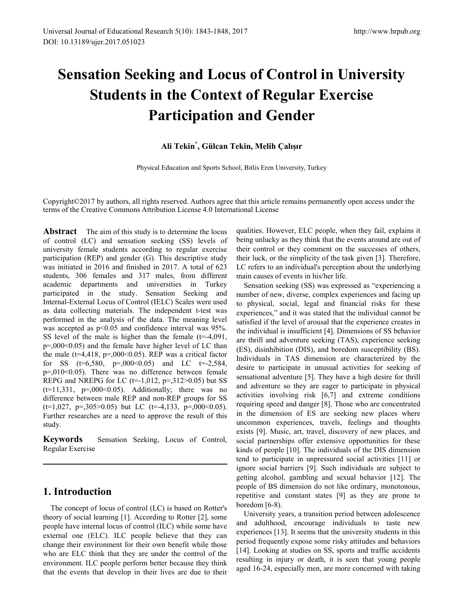# **Sensation Seeking and Locus of Control in University Students in the Context of Regular Exercise Participation and Gender**

### **Ali Tekin\* , Gülcan Tekin, Melih Çalışır**

Physical Education and Sports School, Bitlis Eren University, Turkey

Copyright©2017 by authors, all rights reserved. Authors agree that this article remains permanently open access under the terms of the Creative Commons Attribution License 4.0 International License

Abstract The aim of this study is to determine the locus of control (LC) and sensation seeking (SS) levels of university female students according to regular exercise participation (REP) and gender (G). This descriptive study was initiated in 2016 and finished in 2017. A total of 623 students, 306 females and 317 males, from different academic departments and universities in Turkey participated in the study. Sensation Seeking and Internal-External Locus of Control (IELC) Scales were used as data collecting materials. The independent t-test was performed in the analysis of the data. The meaning level was accepted as  $p<0.05$  and confidence interval was 95%. SS level of the male is higher than the female  $(t=4,091,$  $p=0.00(0.05)$  and the female have higher level of LC than the male ( $t=4,418$ ,  $p=.000<0.05$ ). REP was a critical factor for SS  $(t=6,580, p=0.00000.05)$  and LC  $t=-2,584$ ,  $p=0.010<0.05$ ). There was no difference between female REPG and NREPG for LC ( $t=1,012$ ,  $p=.312>0.05$ ) but SS  $(t=11,331, p=.000<0.05)$ . Additionally; there was no difference between male REP and non-REP groups for SS  $(t=1,027, p=.305>0.05)$  but LC  $(t=.4,133, p=.000<0.05)$ . Further researches are a need to approve the result of this study.

**Keywords** Sensation Seeking, Locus of Control, Regular Exercise

## **1. Introduction**

The concept of locus of control (LC) is based on Rotter's theory of social learning [1]. According to Rotter [2], some people have internal locus of control (ILC) while some have external one (ELC). ILC people believe that they can change their environment for their own benefit while those who are ELC think that they are under the control of the environment. ILC people perform better because they think that the events that develop in their lives are due to their qualities. However, ELC people, when they fail, explains it being unlucky as they think that the events around are out of their control or they comment on the successes of others, their luck, or the simplicity of the task given [3]. Therefore, LC refers to an individual's perception about the underlying main causes of events in his/her life.

Sensation seeking (SS) was expressed as "experiencing a number of new, diverse, complex experiences and facing up to physical, social, legal and financial risks for these experiences," and it was stated that the individual cannot be satisfied if the level of arousal that the experience creates in the individual is insufficient [4]. Dimensions of SS behavior are thrill and adventure seeking (TAS), experience seeking (ES), disinhibition (DIS), and boredom susceptibility (BS). Individuals in TAS dimension are characterized by the desire to participate in unusual activities for seeking of sensational adventure [5]. They have a high desire for thrill and adventure so they are eager to participate in physical activities involving risk [6,7] and extreme conditions requiring speed and danger [8]. Those who are concentrated in the dimension of ES are seeking new places where uncommon experiences, travels, feelings and thoughts exists [9]. Music, art, travel, discovery of new places, and social partnerships offer extensive opportunities for these kinds of people [10]. The individuals of the DIS dimension tend to participate in unpressured social activities [11] or ignore social barriers [9]. Such individuals are subject to getting alcohol, gambling and sexual behavior [12]. The people of BS dimension do not like ordinary, monotonous, repetitive and constant states [9] as they are prone to boredom [6-8).

University years, a transition period between adolescence and adulthood, encourage individuals to taste new experiences [13]. It seems that the university students in this period frequently expose some risky attitudes and behaviors [14]. Looking at studies on SS, sports and traffic accidents resulting in injury or death, it is seen that young people aged 16-24, especially men, are more concerned with taking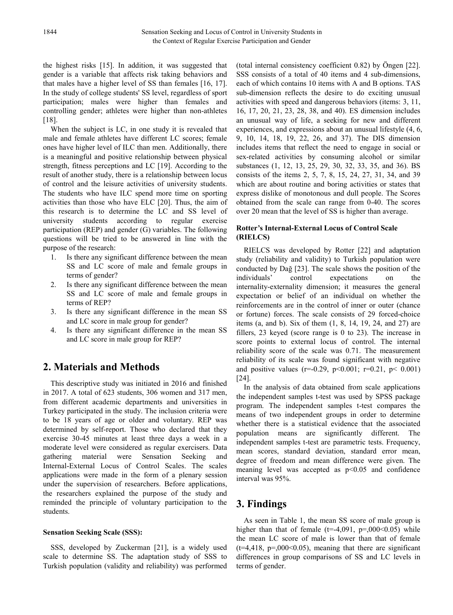the highest risks [15]. In addition, it was suggested that gender is a variable that affects risk taking behaviors and that males have a higher level of SS than females [16, 17]. In the study of college students' SS level, regardless of sport participation; males were higher than females and controlling gender; athletes were higher than non-athletes [18].

When the subject is LC, in one study it is revealed that male and female athletes have different LC scores; female ones have higher level of ILC than men. Additionally, there is a meaningful and positive relationship between physical strength, fitness perceptions and LC [19]. According to the result of another study, there is a relationship between locus of control and the leisure activities of university students. The students who have ILC spend more time on sporting activities than those who have ELC [20]. Thus, the aim of this research is to determine the LC and SS level of university students according to regular exercise participation (REP) and gender (G) variables. The following questions will be tried to be answered in line with the purpose of the research:

- 1. Is there any significant difference between the mean SS and LC score of male and female groups in terms of gender?
- 2. Is there any significant difference between the mean SS and LC score of male and female groups in terms of REP?
- 3. Is there any significant difference in the mean SS and LC score in male group for gender?
- 4. Is there any significant difference in the mean SS and LC score in male group for REP?

## **2. Materials and Methods**

This descriptive study was initiated in 2016 and finished in 2017. A total of 623 students, 306 women and 317 men, from different academic departments and universities in Turkey participated in the study. The inclusion criteria were to be 18 years of age or older and voluntary. REP was determined by self-report. Those who declared that they exercise 30-45 minutes at least three days a week in a moderate level were considered as regular exercisers. Data gathering material were Sensation Seeking and Internal-External Locus of Control Scales. The scales applications were made in the form of a plenary session under the supervision of researchers. Before applications, the researchers explained the purpose of the study and reminded the principle of voluntary participation to the students.

#### **Sensation Seeking Scale (SSS):**

SSS, developed by Zuckerman [21], is a widely used scale to determine SS. The adaptation study of SSS to Turkish population (validity and reliability) was performed (total internal consistency coefficient 0.82) by Öngen [22]. SSS consists of a total of 40 items and 4 sub-dimensions, each of which contains 10 items with A and B options. TAS sub-dimension reflects the desire to do exciting unusual activities with speed and dangerous behaviors (items: 3, 11, 16, 17, 20, 21, 23, 28, 38, and 40). ES dimension includes an unusual way of life, a seeking for new and different experiences, and expressions about an unusual lifestyle (4, 6, 9, 10, 14, 18, 19, 22, 26, and 37). The DIS dimension includes items that reflect the need to engage in social or sex-related activities by consuming alcohol or similar substances (1, 12, 13, 25, 29, 30, 32, 33, 35, and 36). BS consists of the items 2, 5, 7, 8, 15, 24, 27, 31, 34, and 39 which are about routine and boring activities or states that express dislike of monotonous and dull people. The Scores obtained from the scale can range from 0-40. The scores over 20 mean that the level of SS is higher than average.

#### **Rotter's Internal-External Locus of Control Scale (RIELCS)**

RIELCS was developed by Rotter [22] and adaptation study (reliability and validity) to Turkish population were conducted by Dağ [23]. The scale shows the position of the individuals' control expectations on the internality-externality dimension; it measures the general expectation or belief of an individual on whether the reinforcements are in the control of inner or outer (chance or fortune) forces. The scale consists of 29 forced-choice items (a, and b). Six of them (1, 8, 14, 19, 24, and 27) are fillers, 23 keyed (score range is 0 to 23). The increase in score points to external locus of control. The internal reliability score of the scale was 0.71. The measurement reliability of its scale was found significant with negative and positive values ( $r=0.29$ ,  $p<0.001$ ;  $r=0.21$ ,  $p<0.001$ ) [24].

In the analysis of data obtained from scale applications the independent samples t-test was used by SPSS package program. The independent samples t-test compares the means of two independent groups in order to determine whether there is a statistical evidence that the associated population means are significantly different. The independent samples t-test are parametric tests. Frequency, mean scores, standard deviation, standard error mean, degree of freedom and mean difference were given. The meaning level was accepted as  $p<0.05$  and confidence interval was 95%.

## **3. Findings**

As seen in Table 1, the mean SS score of male group is higher than that of female  $(t=4,091, p=.000<0.05)$  while the mean LC score of male is lower than that of female  $(t=4,418, p=.000<0.05)$ , meaning that there are significant differences in group comparisons of SS and LC levels in terms of gender.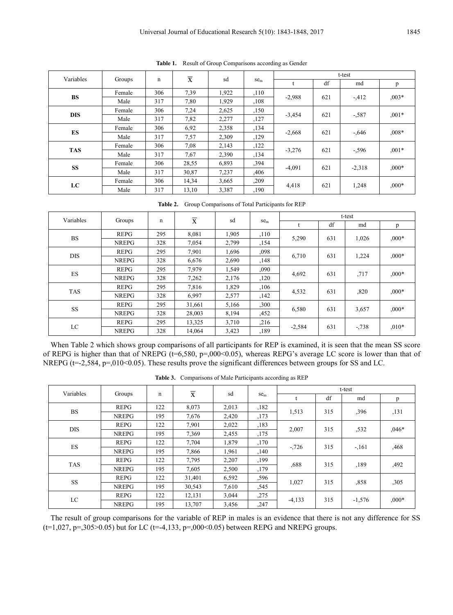| Variables  | Groups | n   | $\overline{\mathbf{x}}$ | sd    | $se$ <sub>m</sub> | t-test   |     |                                                             |         |  |
|------------|--------|-----|-------------------------|-------|-------------------|----------|-----|-------------------------------------------------------------|---------|--|
|            |        |     |                         |       |                   |          | df  | md                                                          | p       |  |
|            | Female | 306 | 7,39                    | 1,922 | .110              |          |     | $-412$<br>$-.587$<br>$-.646$<br>$-596$<br>$-2,318$<br>1,248 | $,003*$ |  |
| <b>BS</b>  | Male   | 317 | 7,80                    | 1,929 | ,108              | $-2,988$ | 621 |                                                             |         |  |
| <b>DIS</b> | Female | 306 | 7,24                    | 2,625 | ,150              | $-3,454$ | 621 |                                                             | $.001*$ |  |
|            | Male   | 317 | 7,82                    | 2,277 | ,127              |          |     |                                                             |         |  |
| ES         | Female | 306 | 6,92                    | 2,358 | ,134              | $-2,668$ | 621 |                                                             | $,008*$ |  |
|            | Male   | 317 | 7.57                    | 2,309 | ,129              |          |     |                                                             |         |  |
|            | Female | 306 | 7.08                    | 2,143 | ,122              | $-3,276$ | 621 |                                                             | $,001*$ |  |
| <b>TAS</b> | Male   | 317 | 7.67                    | 2,390 | ,134              |          |     |                                                             |         |  |
| <b>SS</b>  | Female | 306 | 28,55                   | 6,893 | ,394              | $-4,091$ | 621 |                                                             | $000*$  |  |
|            | Male   | 317 | 30,87                   | 7,237 | ,406              |          |     |                                                             |         |  |
|            | Female | 306 | 14,34                   | 3,665 | ,209              |          | 621 |                                                             | $,000*$ |  |
| LC         | Male   | 317 | 13,10                   | 3,387 | ,190              | 4,418    |     |                                                             |         |  |

**Table 1.** Result of Group Comparisons according as Gender

**Table 2.** Group Comparisons of Total Participants for REP

| Variables  | Groups       |     | $\overline{\mathbf{x}}$ | sd    |                 | t-test   |     |                                                     |         |
|------------|--------------|-----|-------------------------|-------|-----------------|----------|-----|-----------------------------------------------------|---------|
|            |              | n   |                         |       | se <sub>m</sub> |          | df  | md                                                  | p       |
| <b>BS</b>  | <b>REPG</b>  | 295 | 8,081                   | 1,905 | ,110            | 5,290    | 631 | 1,026<br>1,224<br>,717<br>,820<br>3,657<br>$-0.738$ | $0.00*$ |
|            | <b>NREPG</b> | 328 | 7,054                   | 2,799 | ,154            |          |     |                                                     |         |
| <b>DIS</b> | <b>REPG</b>  | 295 | 7,901                   | 1,696 | ,098            |          | 631 |                                                     | $,000*$ |
|            | <b>NREPG</b> | 328 | 6,676                   | 2,690 | ,148            | 6,710    |     |                                                     |         |
|            | <b>REPG</b>  | 295 | 7.979                   | 1,549 | ,090            |          |     |                                                     | $000*$  |
| ES         | <b>NREPG</b> | 328 | 7,262                   | 2,176 | .120            | 4,692    | 631 |                                                     |         |
|            | <b>REPG</b>  | 295 | 7,816                   | 1,829 | ,106            | 4,532    |     |                                                     | $000*$  |
| TAS        | <b>NREPG</b> | 328 | 6,997                   | 2,577 | ,142            |          | 631 |                                                     |         |
| <b>SS</b>  | <b>REPG</b>  | 295 | 31,661                  | 5,166 | ,300            |          | 631 |                                                     | $,000*$ |
|            | <b>NREPG</b> | 328 | 28,003                  | 8,194 | ,452            | 6,580    |     |                                                     |         |
| LC         | <b>REPG</b>  | 295 | 13,325                  | 3,710 | ,216            |          |     |                                                     |         |
|            | <b>NREPG</b> | 328 | 14,064                  | 3,423 | ,189            | $-2,584$ | 631 |                                                     | $,010*$ |

When Table 2 which shows group comparisons of all participants for REP is examined, it is seen that the mean SS score of REPG is higher than that of NREPG (t=6,580, p=,000<0.05), whereas REPG's average LC score is lower than that of NREPG (t=-2,584, p=,010<0.05). These results prove the significant differences between groups for SS and LC.

| Variables  |              |     | $\overline{\mathbf{x}}$ | sd    |                   | t-test   |     |          |         |  |
|------------|--------------|-----|-------------------------|-------|-------------------|----------|-----|----------|---------|--|
|            | Groups       | n   |                         |       | $se$ <sub>m</sub> |          | df  | md       | p       |  |
| <b>BS</b>  | <b>REPG</b>  | 122 | 8,073                   | 2,013 | .182              | 1,513    | 315 | ,396     | ,131    |  |
|            | <b>NREPG</b> | 195 | 7,676                   | 2,420 | ,173              |          |     |          |         |  |
| <b>DIS</b> | <b>REPG</b>  | 122 | 7,901                   | 2,022 | ,183              |          | 315 | ,532     | $.046*$ |  |
|            | <b>NREPG</b> | 195 | 7.369                   | 2,455 | ,175              | 2,007    |     |          |         |  |
|            | <b>REPG</b>  | 122 | 7,704                   | 1,879 | ,170              | $-.726$  | 315 | $-161$   | ,468    |  |
| ES         | <b>NREPG</b> | 195 | 7,866                   | 1.961 | ,140              |          |     |          |         |  |
| <b>TAS</b> | <b>REPG</b>  | 122 | 7,795                   | 2,207 | ,199              | ,688     | 315 | ,189     | ,492    |  |
|            | <b>NREPG</b> | 195 | 7,605                   | 2,500 | ,179              |          |     |          |         |  |
|            | <b>REPG</b>  | 122 | 31,401                  | 6,592 | ,596              |          |     |          |         |  |
| <b>SS</b>  | <b>NREPG</b> | 195 | 30,543                  | 7,610 | ,545              | 1,027    | 315 | ,858     | ,305    |  |
| LC         | <b>REPG</b>  | 122 | 12,131                  | 3,044 | ,275              | $-4,133$ | 315 | $-1,576$ | $,000*$ |  |
|            | <b>NREPG</b> | 195 | 13,707                  | 3,456 | ,247              |          |     |          |         |  |

**Table 3.** Comparisons of Male Participants according as REP

The result of group comparisons for the variable of REP in males is an evidence that there is not any difference for SS  $(t=1,027, p=.305>0.05)$  but for LC  $(t=.4,133, p=.000<0.05)$  between REPG and NREPG groups.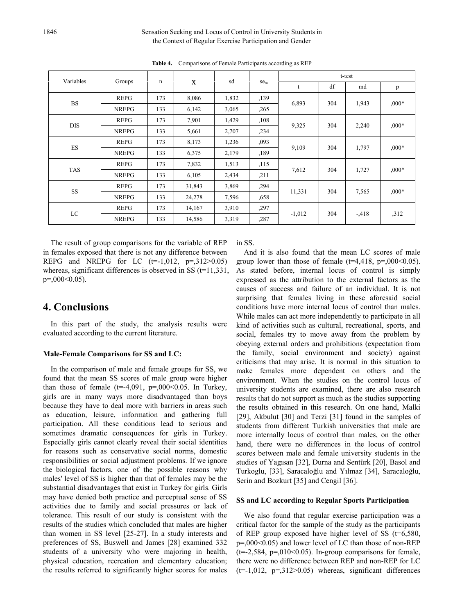#### 1846 Sensation Seeking and Locus of Control in University Students in the Context of Regular Exercise Participation and Gender

| Variables  |              |     | $\overline{\mathbf{X}}$ | sd    |                 | t-test   |     |                                                     |         |  |
|------------|--------------|-----|-------------------------|-------|-----------------|----------|-----|-----------------------------------------------------|---------|--|
|            | Groups       | n   |                         |       | se <sub>m</sub> | t        | df  | md                                                  | p       |  |
|            | <b>REPG</b>  | 173 | 8,086                   | 1,832 | ,139            |          |     | 1,943<br>2,240<br>1,797<br>1,727<br>7,565<br>$-418$ | $,000*$ |  |
| <b>BS</b>  | <b>NREPG</b> | 133 | 6,142                   | 3,065 | ,265            | 6,893    | 304 |                                                     |         |  |
| <b>DIS</b> | <b>REPG</b>  | 173 | 7,901                   | 1,429 | ,108            | 9,325    | 304 |                                                     | $,000*$ |  |
|            | <b>NREPG</b> | 133 | 5,661                   | 2,707 | ,234            |          |     |                                                     |         |  |
|            | <b>REPG</b>  | 173 | 8,173                   | 1,236 | ,093            | 9,109    |     |                                                     | $,000*$ |  |
| ${\rm ES}$ | <b>NREPG</b> | 133 | 6,375                   | 2,179 | ,189            |          | 304 |                                                     |         |  |
| <b>TAS</b> | <b>REPG</b>  | 173 | 7,832                   | 1,513 | ,115            | 7,612    | 304 |                                                     | $,000*$ |  |
|            | <b>NREPG</b> | 133 | 6,105                   | 2,434 | ,211            |          |     |                                                     |         |  |
| <b>SS</b>  | <b>REPG</b>  | 173 | 31,843                  | 3,869 | ,294            |          | 304 |                                                     | $,000*$ |  |
|            | <b>NREPG</b> | 133 | 24,278                  | 7,596 | ,658            | 11,331   |     |                                                     |         |  |
| LC         | <b>REPG</b>  | 173 | 14,167                  | 3,910 | ,297            | $-1,012$ | 304 |                                                     | , 312   |  |
|            | <b>NREPG</b> | 133 | 14,586                  | 3,319 | ,287            |          |     |                                                     |         |  |

**Table 4.** Comparisons of Female Participants according as REP

The result of group comparisons for the variable of REP in females exposed that there is not any difference between REPG and NREPG for LC  $(t=1,012, p=.312>0.05)$ whereas, significant differences is observed in SS  $(t=11,331)$ , p=,000<0.05).

#### **4. Conclusions**

In this part of the study, the analysis results were evaluated according to the current literature.

#### **Male-Female Comparisons for SS and LC:**

In the comparison of male and female groups for SS, we found that the mean SS scores of male group were higher than those of female  $(t=4.091, p=.000<0.05$ . In Turkey, girls are in many ways more disadvantaged than boys because they have to deal more with barriers in areas such as education, leisure, information and gathering full participation. All these conditions lead to serious and sometimes dramatic consequences for girls in Turkey. Especially girls cannot clearly reveal their social identities for reasons such as conservative social norms, domestic responsibilities or social adjustment problems. If we ignore the biological factors, one of the possible reasons why males' level of SS is higher than that of females may be the substantial disadvantages that exist in Turkey for girls. Girls may have denied both practice and perceptual sense of SS activities due to family and social pressures or lack of tolerance. This result of our study is consistent with the results of the studies which concluded that males are higher than women in SS level [25-27]. In a study interests and preferences of SS, Buswell and James [28] examined 332 students of a university who were majoring in health, physical education, recreation and elementary education; the results referred to significantly higher scores for males

in SS.

And it is also found that the mean LC scores of male group lower than those of female  $(t=4,418, p=.000<0.05)$ . As stated before, internal locus of control is simply expressed as the attribution to the external factors as the causes of success and failure of an individual. It is not surprising that females living in these aforesaid social conditions have more internal locus of control than males. While males can act more independently to participate in all kind of activities such as cultural, recreational, sports, and social, females try to move away from the problem by obeying external orders and prohibitions (expectation from the family, social environment and society) against criticisms that may arise. It is normal in this situation to make females more dependent on others and the environment. When the studies on the control locus of university students are examined, there are also research results that do not support as much as the studies supporting the results obtained in this research. On one hand, Malki [29], Akbulut [30] and Terzi [31] found in the samples of students from different Turkish universities that male are more internally locus of control than males, on the other hand, there were no differences in the locus of control scores between male and female university students in the studies of Yagısan [32], Durna and Sentürk [20], Basol and Turkoglu, [33], Saracaloğlu and Yılmaz [34], Saracaloğlu, Serin and Bozkurt [35] and Cengil [36].

#### **SS and LC according to Regular Sports Participation**

We also found that regular exercise participation was a critical factor for the sample of the study as the participants of REP group exposed have higher level of SS  $(t=6,580,$  $p=0.00<0.05$  and lower level of LC than those of non-REP  $(t=2,584, p=0.010<0.05)$ . In-group comparisons for female, there were no difference between REP and non-REP for LC  $(t=1,012, p=.312>0.05)$  whereas, significant differences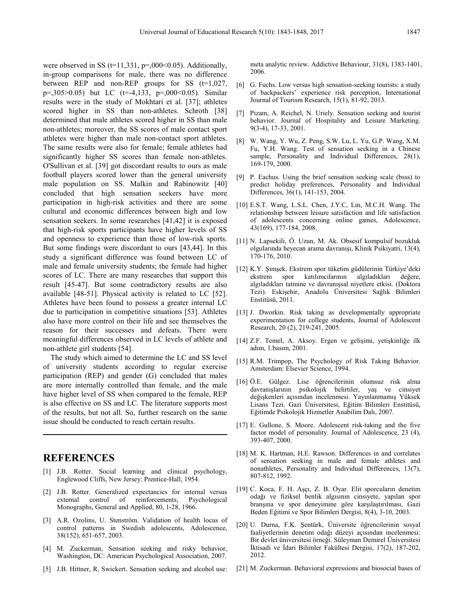were observed in SS ( $t=11,331, p=.000<0.05$ ). Additionally, in-group comparisons for male, there was no difference between REP and non-REP groups for SS  $(t=1.027)$ , p=,305>0.05) but LC (t=-4,133, p=,000<0.05). Similar results were in the study of Mokhtari et al. [37]; athletes scored higher in SS than non-athletes. Schroth [38] determined that male athletes scored higher in SS than male non-athletes; moreover, the SS scores of male contact sport athletes were higher than male non-contact sport athletes. The same results were also for female; female athletes had significantly higher SS scores than female non-athletes. O'Sullivan et al. [39] got discordant results to ours as male football players scored lower than the general university male population on SS. Malkin and Rabinowitz [40] concluded that high sensation seekers have more participation in high-risk activities and there are some cultural and economic differences between high and low sensation seekers. In some researches [41,42] it is exposed that high-risk sports participants have higher levels of SS and openness to experience than those of low-risk sports. But some findings were discordant to ours [43,44]. In this study a significant difference was found between LC of male and female university students; the female had higher scores of LC. There are many researches that support this result [45-47]. But some contradictory results are also available [48-51]. Physical activity is related to LC [52]. Athletes have been found to possess a greater internal LC due to participation in competitive situations [53]. Athletes also have more control on their life and see themselves the reason for their successes and defeats. There were meaningful differences observed in LC levels of athlete and non-athlete girl students [54].

The study which aimed to determine the LC and SS level of university students according to regular exercise participation (REP) and gender (G) concluded that males are more internally controlled than female, and the male have higher level of SS when compared to the female, REP is also effective on SS and LC. The literature supports most of the results, but not all. So, further research on the same issue should be conducted to reach certain results.

## **REFERENCES**

- [1] J.B. Rotter. Social learning and clinical psychology, Englewood Cliffs, New Jersey: Prentice-Hall, 1954.
- [2] J.B. Rotter. Generalized expectancies for internal versus external control of reinforcements, Psychological Monographs, General and Applied, 80, 1-28, 1966.
- [3] A.R. Ozolins, U. Stenström. Validation of health locus of control patterns in Swedish adolescents, Adolescence, 38(152), 651-657, 2003.
- [4] M. Zuckerman, Sensation seeking and risky behavior, Washington, DC: American Psychological Association, 2007.
- [5] J.B. Hittner, R. Swickert. Sensation seeking and alcohol use:

meta analytic review. Addictive Behaviour, 31(8), 1383-1401, 2006.

- [6] G. Fuchs. Low versus high sensation-seeking tourists: a study of backpackers' experience risk perception, International Journal of Tourism Research, 15(1), 81-92, 2013.
- [7] Pizam, A. Reichel, N. Uriely. Sensation seeking and tourist behavior. Journal of Hospitality and Leisure Marketing. 9(3-4), 17-33, 2001.
- [8] W. Wang, Y. Wu, Z. Peng, S.W. Lu, L. Yu, G.P. Wang, X.M. Fu, Y.H. Wang. Test of sensation seeking in a Chinese sample, Personality and Individual Differences, 28(1), 169-179, 2000.
- [9] P. Eachus. Using the brief sensation seeking scale (bsss) to predict holiday preferences, Personality and Individual Differences, 36(1), 141-153, 2004.
- [10] E.S.T. Wang, L.S.L. Chen, J.Y.C, Lin, M.C.H. Wang. The relationship between leisure satisfaction and life satisfaction of adolescents concerning online games, Adolescence, 43(169), 177-184, 2008.
- [11] N. Lapsekili, Ö. Uzun, M. Ak. Obsesif kompulsif bozukluk olgularında heyecan arama davranışı, Klinik Psikiyatri, 13(4), 170-176, 2010.
- [12] K.Y. Şimşek. Ekstrem spor tüketim güdülerinin Türkiye'deki ekstrem spor katılımcılarının algıladıkları değere, algıladıkları tatmine ve davranışsal niyetlere etkisi. (Doktora Tezi). Eskişehir, Anadolu Üniversitesi Sağlık Bilimleri Enstitüsü, 2011.
- [13] J. Dworkin. Risk taking as developmentally appropriate experimentation for college students, Journal of Adolescent Research, 20 (2), 219-241, 2005.
- [14] Z.F. Temel, A. Aksoy. Ergen ve gelişimi, yetişkinliğe ilk adım, 1.basım, 2001.
- [15] R.M. Trimpop, The Psychology of Risk Taking Behavior. Amsterdam: Elsevier Science, 1994.
- [16] Ö.E. Gülgez. Lise öğrencilerinin olumsuz risk alma davranışlarının psikolojik belirtiler, yaş ve cinsiyet değişkenleri açısından incelenmesi. Yayınlanmamış Yüksek Lisans Tezi. Gazi Üniversitesi, Eğitim Bilimleri Enstitüsü, Eğitimde Psikolojik Hizmetler Anabilim Dalı, 2007.
- [17] E. Gullone, S. Moore. Adolescent risk-taking and the five factor model of personality. Journal of Adolescence, 23 (4), 393-407, 2000.
- [18] M. K. Hartman, H.E. Rawson. Differences in and correlates of sensation seeking in male and female athletes and nonathletes, Personality and Individual Differences, 13(7), 807-812, 1992.
- [19] C. Koca, F. H. Aşçı, Z. B. Oyar. Elit sporcuların denetim odağı ve fiziksel benlik algısının cinsiyete, yapılan spor branşına ve spor deneyimine göre karşılaştırılması, Gazi Beden Eğitimi ve Spor Bilimleri Dergisi, 8(4), 3-10, 2003.
- [20] U. Durna, F.K. Şentürk, Üniversite öğrencilerinin sosyal faaliyetlerinin denetim odağı düzeyi açısından incelenmesi: Bir devlet üniversitesi örneği. Süleyman Demirel Üniversitesi İktisadi ve İdari Bilimler Fakültesi Dergisi, 17(2), 187-202, 2012.
- [21] M. Zuckerman. Behavioral expressions and biosocial bases of